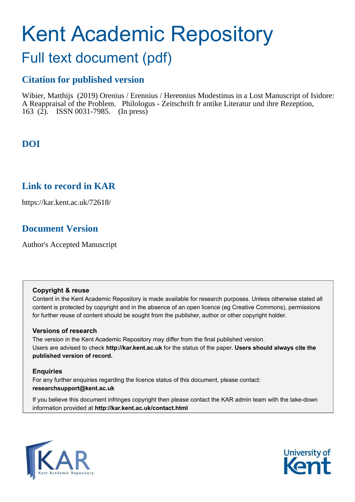# Kent Academic Repository

## Full text document (pdf)

## **Citation for published version**

Wibier, Matthijs (2019) Orenius / Erennius / Herennius Modestinus in a Lost Manuscript of Isidore: A Reappraisal of the Problem. Philologus - Zeitschrift fr antike Literatur und ihre Rezeption, 163 (2). ISSN 0031-7985. (In press)

## **DOI**

### **Link to record in KAR**

https://kar.kent.ac.uk/72618/

## **Document Version**

Author's Accepted Manuscript

#### **Copyright & reuse**

Content in the Kent Academic Repository is made available for research purposes. Unless otherwise stated all content is protected by copyright and in the absence of an open licence (eg Creative Commons), permissions for further reuse of content should be sought from the publisher, author or other copyright holder.

#### **Versions of research**

The version in the Kent Academic Repository may differ from the final published version. Users are advised to check **http://kar.kent.ac.uk** for the status of the paper. **Users should always cite the published version of record.**

#### **Enquiries**

For any further enquiries regarding the licence status of this document, please contact: **researchsupport@kent.ac.uk**

If you believe this document infringes copyright then please contact the KAR admin team with the take-down information provided at **http://kar.kent.ac.uk/contact.html**



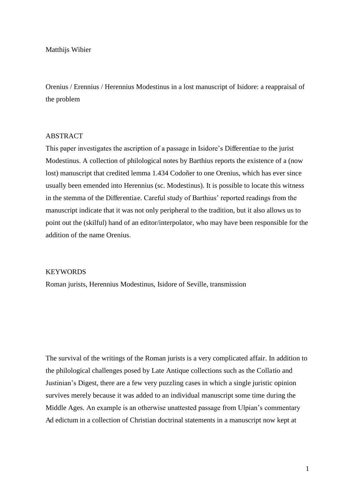Matthijs Wibier

Orenius / Erennius / Herennius Modestinus in a lost manuscript of Isidore: a reappraisal of the problem

#### ABSTRACT

This paper investigates the ascription of a passage in Isidore's Differentiae to the jurist Modestinus. A collection of philological notes by Barthius reports the existence of a (now lost) manuscript that credited lemma 1.434 Codoñer to one Orenius, which has ever since usually been emended into Herennius (sc. Modestinus). It is possible to locate this witness in the stemma of the Differentiae. Careful study of Barthius' reported readings from the manuscript indicate that it was not only peripheral to the tradition, but it also allows us to point out the (skilful) hand of an editor/interpolator, who may have been responsible for the addition of the name Orenius.

#### KEYWORDS

Roman jurists, Herennius Modestinus, Isidore of Seville, transmission

The survival of the writings of the Roman jurists is a very complicated affair. In addition to the philological challenges posed by Late Antique collections such as the Collatio and Justinian's Digest, there are a few very puzzling cases in which a single juristic opinion survives merely because it was added to an individual manuscript some time during the Middle Ages. An example is an otherwise unattested passage from Ulpian's commentary Ad edictum in a collection of Christian doctrinal statements in a manuscript now kept at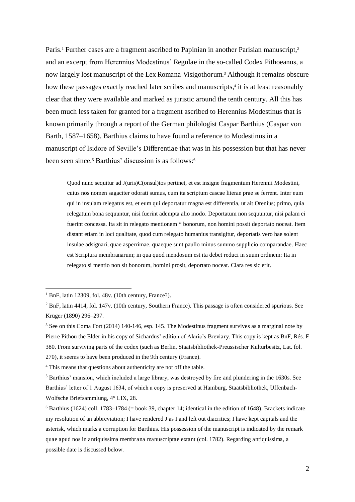Paris.<sup>1</sup> Further cases are a fragment ascribed to Papinian in another Parisian manuscript,<sup>2</sup> and an excerpt from Herennius Modestinus' Regulae in the so-called Codex Pithoeanus, a now largely lost manuscript of the Lex Romana Visigothorum.<sup>3</sup> Although it remains obscure how these passages exactly reached later scribes and manuscripts,<sup>4</sup> it is at least reasonably clear that they were available and marked as juristic around the tenth century. All this has been much less taken for granted for a fragment ascribed to Herennius Modestinus that is known primarily through a report of the German philologist Caspar Barthius (Caspar von Barth, 1587–1658). Barthius claims to have found a reference to Modestinus in a manuscript of Isidore of Seville's Differentiae that was in his possession but that has never been seen since.<sup>5</sup> Barthius' discussion is as follows:<sup>6</sup>

Quod nunc sequitur ad J(uris)C(onsul)tos pertinet, et est insigne fragmentum Herennii Modestini, cuius nos nomen sagaciter odorati sumus, cum ita scriptum cascae literae prae se ferrent. Inter eum qui in insulam relegatus est, et eum qui deportatur magna est differentia, ut ait Orenius; primo, quia relegatum bona sequuntur, nisi fuerint adempta alio modo. Deportatum non sequuntur, nisi palam ei fuerint concessa. Ita sit in relegato mentionem \* bonorum, non homini possit deportato noceat. Item distant etiam in loci qualitate, quod cum relegato humanius transigitur, deportatis vero hae solent insulae adsignari, quae asperrimae, quaeque sunt paullo minus summo supplicio comparandae. Haec est Scriptura membranarum; in qua quod mendosum est ita debet reduci in suum ordinem: Ita in relegato si mentio non sit bonorum, homini prosit, deportato noceat. Clara res sic erit.

<sup>&</sup>lt;sup>1</sup> BnF, latin 12309, fol. 48v. (10th century, France?).

<sup>&</sup>lt;sup>2</sup> BnF, latin 4414, fol. 147v. (10th century, Southern France). This passage is often considered spurious. See Krüger (1890) 296–297.

<sup>&</sup>lt;sup>3</sup> See on this Coma Fort (2014) 140-146, esp. 145. The Modestinus fragment survives as a marginal note by Pierre Pithou the Elder in his copy of Sichardus' edition of Alaric's Breviary. This copy is kept as BnF, Rés. F 380. From surviving parts of the codex (such as Berlin, Staatsbibliothek-Preussischer Kulturbesitz, Lat. fol. 270), it seems to have been produced in the 9th century (France).

<sup>&</sup>lt;sup>4</sup> This means that questions about authenticity are not off the table.

<sup>5</sup> Barthius' mansion, which included a large library, was destroyed by fire and plundering in the 1630s. See Barthius' letter of 1 August 1634, of which a copy is preserved at Hamburg, Staatsbibliothek, Uffenbach-Wolfsche Briefsammlung, 4° LIX, 28.

<sup>&</sup>lt;sup>6</sup> Barthius (1624) coll. 1783–1784 (= book 39, chapter 14; identical in the edition of 1648). Brackets indicate my resolution of an abbreviation; I have rendered J as I and left out diacritics; I have kept capitals and the asterisk, which marks a corruption for Barthius. His possession of the manuscript is indicated by the remark quae apud nos in antiquissima membrana manuscriptae extant (col. 1782). Regarding antiquissima, a possible date is discussed below.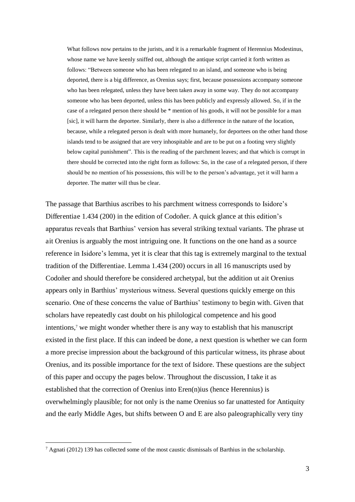What follows now pertains to the jurists, and it is a remarkable fragment of Herennius Modestinus, whose name we have keenly sniffed out, although the antique script carried it forth written as follows: "Between someone who has been relegated to an island, and someone who is being deported, there is a big difference, as Orenius says; first, because possessions accompany someone who has been relegated, unless they have been taken away in some way. They do not accompany someone who has been deported, unless this has been publicly and expressly allowed. So, if in the case of a relegated person there should be \* mention of his goods, it will not be possible for a man [sic], it will harm the deportee. Similarly, there is also a difference in the nature of the location, because, while a relegated person is dealt with more humanely, for deportees on the other hand those islands tend to be assigned that are very inhospitable and are to be put on a footing very slightly below capital punishment". This is the reading of the parchment leaves; and that which is corrupt in there should be corrected into the right form as follows: So, in the case of a relegated person, if there should be no mention of his possessions, this will be to the person's advantage, yet it will harm a deportee. The matter will thus be clear.

The passage that Barthius ascribes to his parchment witness corresponds to Isidore's Differentiae 1.434 (200) in the edition of Codoñer. A quick glance at this edition's apparatus reveals that Barthius' version has several striking textual variants. The phrase ut ait Orenius is arguably the most intriguing one. It functions on the one hand as a source reference in Isidore's lemma, yet it is clear that this tag is extremely marginal to the textual tradition of the Differentiae. Lemma 1.434 (200) occurs in all 16 manuscripts used by Codoñer and should therefore be considered archetypal, but the addition ut ait Orenius appears only in Barthius' mysterious witness. Several questions quickly emerge on this scenario. One of these concerns the value of Barthius' testimony to begin with. Given that scholars have repeatedly cast doubt on his philological competence and his good intentions,<sup>7</sup> we might wonder whether there is any way to establish that his manuscript existed in the first place. If this can indeed be done, a next question is whether we can form a more precise impression about the background of this particular witness, its phrase about Orenius, and its possible importance for the text of Isidore. These questions are the subject of this paper and occupy the pages below. Throughout the discussion, I take it as established that the correction of Orenius into Eren(n)ius (hence Herennius) is overwhelmingly plausible; for not only is the name Orenius so far unattested for Antiquity and the early Middle Ages, but shifts between O and E are also paleographically very tiny

 $^7$  Agnati (2012) 139 has collected some of the most caustic dismissals of Barthius in the scholarship.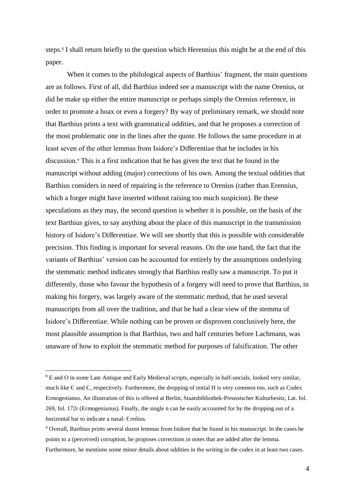steps.<sup>8</sup> I shall return briefly to the question which Herennius this might be at the end of this paper.

When it comes to the philological aspects of Barthius' fragment, the main questions are as follows. First of all, did Barthius indeed see a manuscript with the name Orenius, or did he make up either the entire manuscript or perhaps simply the Orenius reference, in order to promote a hoax or even a forgery? By way of preliminary remark, we should note that Barthius prints a text with grammatical oddities, and that he proposes a correction of the most problematic one in the lines after the quote. He follows the same procedure in at least seven of the other lemmas from Isidore's Differentiae that he includes in his discussion.<sup>9</sup> This is a first indication that he has given the text that he found in the manuscript without adding (major) corrections of his own. Among the textual oddities that Barthius considers in need of repairing is the reference to Orenius (rather than Erennius, which a forger might have inserted without raising too much suspicion). Be these speculations as they may, the second question is whether it is possible, on the basis of the text Barthius gives, to say anything about the place of this manuscript in the transmission history of Isidore's Differentiae. We will see shortly that this is possible with considerable precision. This finding is important for several reasons. On the one hand, the fact that the variants of Barthius' version can be accounted for entirely by the assumptions underlying the stemmatic method indicates strongly that Barthius really saw a manuscript. To put it differently, those who favour the hypothesis of a forgery will need to prove that Barthius, in making his forgery, was largely aware of the stemmatic method, that he used several manuscripts from all over the tradition, and that he had a clear view of the stemma of Isidore's Differentiae. While nothing can be proven or disproven conclusively here, the most plausible assumption is that Barthius, two and half centuries before Lachmann, was unaware of how to exploit the stemmatic method for purposes of falsification. The other

<sup>&</sup>lt;sup>8</sup> E and O in some Late Antique and Early Medieval scripts, especially in half-uncials, looked very similar, much like  $C$  and  $C$ , respectively. Furthermore, the dropping of initial H is very common too, such as  $C$ odex Ermogenianus. An illustration of this is offered at Berlin, Staatsbibliothek-Preussischer Kulturbesitz, Lat. fol. 269, fol. 172r (Ermogenianus). Finally, the single n can be easily accounted for by the dropping out of a horizontal bar to indicate a nasal: Creñius.

<sup>&</sup>lt;sup>9</sup> Overall, Barthius prints several dozen lemmas from Isidore that he found in his manuscript. In the cases he points to a (perceived) corruption, he proposes corrections in notes that are added after the lemma. Furthermore, he mentions some minor details about oddities in the writing in the codex in at least two cases.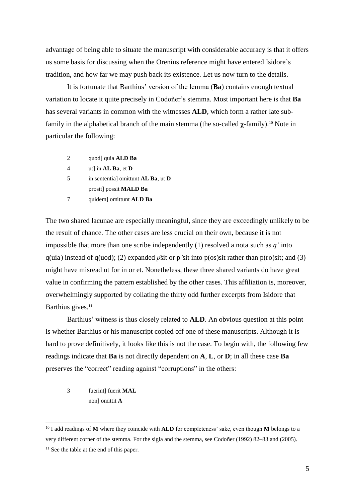advantage of being able to situate the manuscript with considerable accuracy is that it offers us some basis for discussing when the Orenius reference might have entered Isidore's tradition, and how far we may push back its existence. Let us now turn to the details.

It is fortunate that Barthius' version of the lemma (**Ba**) contains enough textual variation to locate it quite precisely in Codoñer's stemma. Most important here is that **Ba** has several variants in common with the witnesses **ALD**, which form a rather late subfamily in the alphabetical branch of the main stemma (the so-called  $\gamma$ -family).<sup>10</sup> Note in particular the following:

|   | quod] quia <b>ALD Ba</b>                          |
|---|---------------------------------------------------|
| 4 | ut] in $AL$ Ba, et D                              |
| 5 | in sentential omittunt <b>AL Ba</b> , ut <b>D</b> |
|   | prosit] possit <b>MALD Ba</b>                     |
|   | quidem] omittunt ALD Ba                           |

The two shared lacunae are especially meaningful, since they are exceedingly unlikely to be the result of chance. The other cases are less crucial on their own, because it is not impossible that more than one scribe independently (1) resolved a nota such as *q'* into  $q(i)$  instead of  $q(i)$ ; (2) expanded  $\bar{p}$ sit or p'sit into  $p($ os)sit rather than  $p($ ro)sit; and (3) might have misread ut for in or et. Nonetheless, these three shared variants do have great value in confirming the pattern established by the other cases. This affiliation is, moreover, overwhelmingly supported by collating the thirty odd further excerpts from Isidore that Barthius gives.<sup>11</sup>

Barthius' witness is thus closely related to **ALD**. An obvious question at this point is whether Barthius or his manuscript copied off one of these manuscripts. Although it is hard to prove definitively, it looks like this is not the case. To begin with, the following few readings indicate that **Ba** is not directly dependent on **A**, **L**, or **D**; in all these case **Ba** preserves the "correct" reading against "corruptions" in the others:

3 fuerint] fuerit **MAL** non] omittit **A**

<sup>10</sup> I add readings of **M** where they coincide with **ALD** for completeness' sake, even though **M** belongs to a very different corner of the stemma. For the sigla and the stemma, see Codoñer (1992) 82–83 and (2005).

<sup>&</sup>lt;sup>11</sup> See the table at the end of this paper.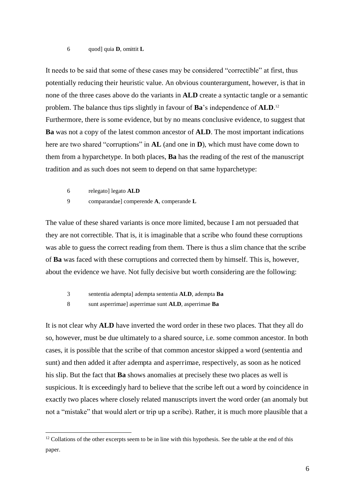#### 6 quod] quia **D**, omittit **L**

It needs to be said that some of these cases may be considered "correctible" at first, thus potentially reducing their heuristic value. An obvious counterargument, however, is that in none of the three cases above do the variants in **ALD** create a syntactic tangle or a semantic problem. The balance thus tips slightly in favour of **Ba**'s independence of **ALD**. 12 Furthermore, there is some evidence, but by no means conclusive evidence, to suggest that **Ba** was not a copy of the latest common ancestor of **ALD**. The most important indications here are two shared "corruptions" in **AL** (and one in **D**), which must have come down to them from a hyparchetype. In both places, **Ba** has the reading of the rest of the manuscript tradition and as such does not seem to depend on that same hyparchetype:

6 relegato] legato **ALD**

 $\overline{a}$ 

9 comparandae] comperende **A**, comperande **L**

The value of these shared variants is once more limited, because I am not persuaded that they are not correctible. That is, it is imaginable that a scribe who found these corruptions was able to guess the correct reading from them. There is thus a slim chance that the scribe of **Ba** was faced with these corruptions and corrected them by himself. This is, however, about the evidence we have. Not fully decisive but worth considering are the following:

- 3 sententia adempta] adempta sententia **ALD**, adempta **Ba**
- 8 sunt asperrimae] asperrimae sunt **ALD**, asperrimae **Ba**

It is not clear why **ALD** have inverted the word order in these two places. That they all do so, however, must be due ultimately to a shared source, i.e. some common ancestor. In both cases, it is possible that the scribe of that common ancestor skipped a word (sententia and sunt) and then added it after adempta and asperrimae, respectively, as soon as he noticed his slip. But the fact that **Ba** shows anomalies at precisely these two places as well is suspicious. It is exceedingly hard to believe that the scribe left out a word by coincidence in exactly two places where closely related manuscripts invert the word order (an anomaly but not a "mistake" that would alert or trip up a scribe). Rather, it is much more plausible that a

<sup>&</sup>lt;sup>12</sup> Collations of the other excerpts seem to be in line with this hypothesis. See the table at the end of this paper.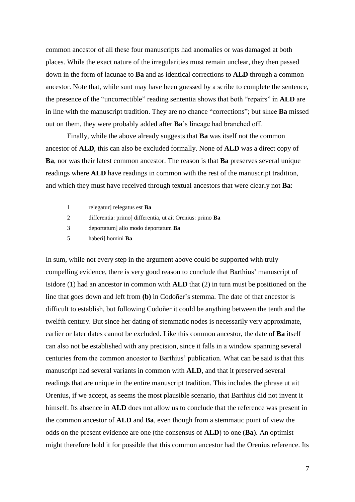common ancestor of all these four manuscripts had anomalies or was damaged at both places. While the exact nature of the irregularities must remain unclear, they then passed down in the form of lacunae to **Ba** and as identical corrections to **ALD** through a common ancestor. Note that, while sunt may have been guessed by a scribe to complete the sentence, the presence of the "uncorrectible" reading sententia shows that both "repairs" in **ALD** are in line with the manuscript tradition. They are no chance "corrections"; but since **Ba** missed out on them, they were probably added after **Ba**'s lineage had branched off.

 Finally, while the above already suggests that **Ba** was itself not the common ancestor of **ALD**, this can also be excluded formally. None of **ALD** was a direct copy of **Ba**, nor was their latest common ancestor. The reason is that **Ba** preserves several unique readings where **ALD** have readings in common with the rest of the manuscript tradition, and which they must have received through textual ancestors that were clearly not **Ba**:

|   | relegatur] relegatus est <b>Ba</b>                        |
|---|-----------------------------------------------------------|
|   | differentia: primo] differentia, ut ait Orenius: primo Ba |
| 3 | deportatum alio modo deportatum Ba                        |
|   |                                                           |

5 haberi] homini **Ba**

In sum, while not every step in the argument above could be supported with truly compelling evidence, there is very good reason to conclude that Barthius' manuscript of Isidore (1) had an ancestor in common with **ALD** that (2) in turn must be positioned on the line that goes down and left from **(b)** in Codoñer's stemma. The date of that ancestor is difficult to establish, but following Codoñer it could be anything between the tenth and the twelfth century. But since her dating of stemmatic nodes is necessarily very approximate, earlier or later dates cannot be excluded. Like this common ancestor, the date of **Ba** itself can also not be established with any precision, since it falls in a window spanning several centuries from the common ancestor to Barthius' publication. What can be said is that this manuscript had several variants in common with **ALD**, and that it preserved several readings that are unique in the entire manuscript tradition. This includes the phrase ut ait Orenius, if we accept, as seems the most plausible scenario, that Barthius did not invent it himself. Its absence in **ALD** does not allow us to conclude that the reference was present in the common ancestor of **ALD** and **Ba**, even though from a stemmatic point of view the odds on the present evidence are one (the consensus of **ALD**) to one (**Ba**). An optimist might therefore hold it for possible that this common ancestor had the Orenius reference. Its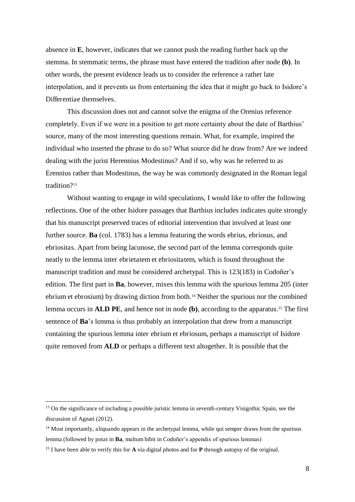absence in **E**, however, indicates that we cannot push the reading further back up the stemma. In stemmatic terms, the phrase must have entered the tradition after node **(b)**. In other words, the present evidence leads us to consider the reference a rather late interpolation, and it prevents us from entertaining the idea that it might go back to Isidore's Differentiae themselves.

This discussion does not and cannot solve the enigma of the Orenius reference completely. Even if we were in a position to get more certainty about the date of Barthius' source, many of the most interesting questions remain. What, for example, inspired the individual who inserted the phrase to do so? What source did he draw from? Are we indeed dealing with the jurist Herennius Modestinus? And if so, why was he referred to as Erennius rather than Modestinus, the way he was commonly designated in the Roman legal tradition?<sup>13</sup>

Without wanting to engage in wild speculations, I would like to offer the following reflections. One of the other Isidore passages that Barthius includes indicates quite strongly that his manuscript preserved traces of editorial intervention that involved at least one further source. **Ba** (col. 1783) has a lemma featuring the words ebrius, ebriosus, and ebriositas. Apart from being lacunose, the second part of the lemma corresponds quite neatly to the lemma inter ebrietatem et ebriositatem, which is found throughout the manuscript tradition and must be considered archetypal. This is 123(183) in Codoñer's edition. The first part in **Ba**, however, mixes this lemma with the spurious lemma 205 (inter ebrium et ebrosium) by drawing diction from both.14 Neither the spurious nor the combined lemma occurs in **ALD PE**, and hence not in node **(b)**, according to the apparatus.<sup>15</sup> The first sentence of **Ba**'s lemma is thus probably an interpolation that drew from a manuscript containing the spurious lemma inter ebrium et ebriosum, perhaps a manuscript of Isidore quite removed from **ALD** or perhaps a different text altogether. It is possible that the

<sup>&</sup>lt;sup>13</sup> On the significance of including a possible juristic lemma in seventh-century Visigothic Spain, see the discussion of Agnati (2012).

<sup>&</sup>lt;sup>14</sup> Most importantly, aliquando appears in the archetypal lemma, while qui semper draws from the spurious lemma (followed by potat in **Ba**, multum bibit in Codoñer's appendix of spurious lemmas)

<sup>15</sup> I have been able to verify this for **A** via digital photos and for **P** through autopsy of the original.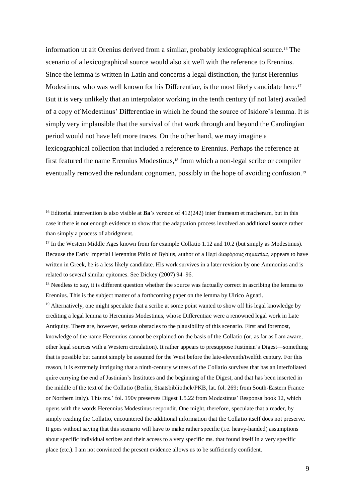information ut ait Orenius derived from a similar, probably lexicographical source.16 The scenario of a lexicographical source would also sit well with the reference to Erennius. Since the lemma is written in Latin and concerns a legal distinction, the jurist Herennius Modestinus, who was well known for his Differentiae, is the most likely candidate here.<sup>17</sup> But it is very unlikely that an interpolator working in the tenth century (if not later) availed of a copy of Modestinus' Differentiae in which he found the source of Isidore's lemma. It is simply very implausible that the survival of that work through and beyond the Carolingian period would not have left more traces. On the other hand, we may imagine a lexicographical collection that included a reference to Erennius. Perhaps the reference at first featured the name Erennius Modestinus,<sup>18</sup> from which a non-legal scribe or compiler eventually removed the redundant cognomen, possibly in the hope of avoiding confusion.<sup>19</sup>

 $\overline{a}$ 

<sup>18</sup> Needless to say, it is different question whether the source was factually correct in ascribing the lemma to Erennius. This is the subject matter of a forthcoming paper on the lemma by Ulrico Agnati.

<sup>19</sup> Alternatively, one might speculate that a scribe at some point wanted to show off his legal knowledge by crediting a legal lemma to Herennius Modestinus, whose Differentiae were a renowned legal work in Late Antiquity. There are, however, serious obstacles to the plausibility of this scenario. First and foremost, knowledge of the name Herennius cannot be explained on the basis of the Collatio (or, as far as I am aware, other legal sources with a Western circulation). It rather appears to presuppose Justinian's Digest—something that is possible but cannot simply be assumed for the West before the late-eleventh/twelfth century. For this reason, it is extremely intriguing that a ninth-century witness of the Collatio survives that has an interfoliated quire carrying the end of Justinian's Institutes and the beginning of the Digest, and that has been inserted in the middle of the text of the Collatio (Berlin, Staatsbibliothek/PKB, lat. fol. 269; from South-Eastern France or Northern Italy). This ms.' fol. 190v preserves Digest 1.5.22 from Modestinus' Responsa book 12, which opens with the words Herennius Modestinus respondit. One might, therefore, speculate that a reader, by simply reading the Collatio, encountered the additional information that the Collatio itself does not preserve. It goes without saying that this scenario will have to make rather specific (i.e. heavy-handed) assumptions about specific individual scribes and their access to a very specific ms. that found itself in a very specific place (etc.). I am not convinced the present evidence allows us to be sufficiently confident.

<sup>&</sup>lt;sup>16</sup> Editorial intervention is also visible at **Ba**'s version of 412(242) inter frameam et macheram, but in this case it there is not enough evidence to show that the adaptation process involved an additional source rather than simply a process of abridgment.

<sup>&</sup>lt;sup>17</sup> In the Western Middle Ages known from for example Collatio 1.12 and 10.2 (but simply as Modestinus). Because the Early Imperial Herennius Philo of Byblus, author of a  $\Pi \epsilon \rho i \delta \alpha \varphi \delta \rho \sigma \varphi \sigma \eta \mu \alpha \sigma \alpha \sigma$ , appears to have written in Greek, he is a less likely candidate. His work survives in a later revision by one Ammonius and is related to several similar epitomes. See Dickey (2007) 94–96.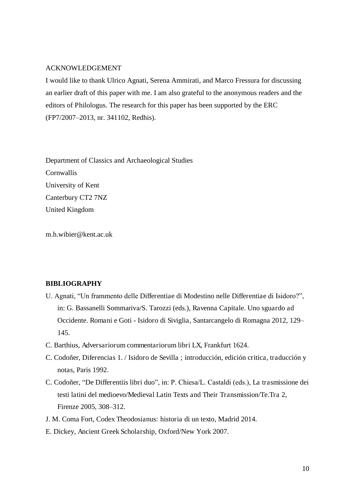#### ACKNOWLEDGEMENT

I would like to thank Ulrico Agnati, Serena Ammirati, and Marco Fressura for discussing an earlier draft of this paper with me. I am also grateful to the anonymous readers and the editors of Philologus. The research for this paper has been supported by the ERC (FP7/2007–2013, nr. 341102, Redhis).

Department of Classics and Archaeological Studies **Cornwallis** University of Kent Canterbury CT2 7NZ United Kingdom

m.h.wibier@kent.ac.uk

#### **BIBLIOGRAPHY**

- U. Agnati, "Un frammento delle Differentiae di Modestino nelle Differentiae di Isidoro?", in: G. Bassanelli Sommariva/S. Tarozzi (eds.), Ravenna Capitale. Uno sguardo ad Occidente. Romani e Goti - Isidoro di Siviglia, Santarcangelo di Romagna 2012, 129– 145.
- C. Barthius, Adversariorum commentariorum libri LX, Frankfurt 1624.
- C. Codoñer, Diferencias 1. / Isidoro de Sevilla ; introducción, edición critica, traducción y notas, Paris 1992.
- C. Codoñer, "De Differentiis libri duo", in: P. Chiesa/L. Castaldi (eds.), La trasmissione dei testi latini del medioevo/Medieval Latin Texts and Their Transmission/Te.Tra 2, Firenze 2005, 308–312.
- J. M. Coma Fort, Codex Theodosianus: historia di un texto, Madrid 2014.
- E. Dickey, Ancient Greek Scholarship, Oxford/New York 2007.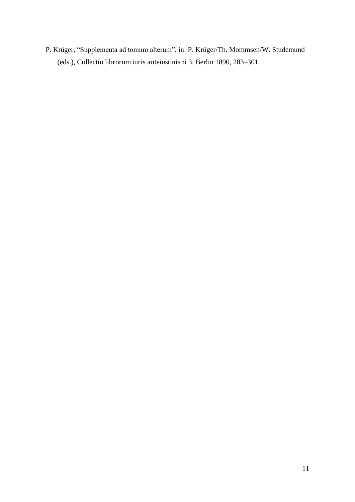P. Krüger, "Supplementa ad tomum alterum", in: P. Krüger/Th. Mommsen/W. Studemund (eds.), Collectio librorum iuris anteiustiniani 3, Berlin 1890, 283–301.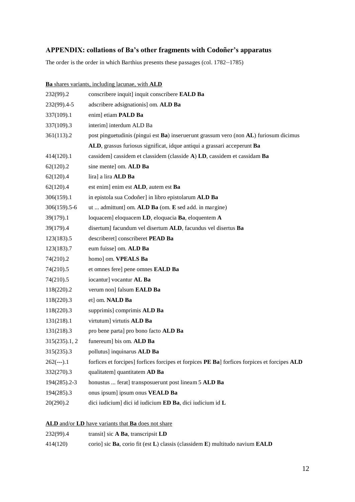#### **APPENDIX: collations of Ba's other fragments with Codoñer's apparatus**

The order is the order in which Barthius presents these passages (col. 1782–1785)

|                                                    | Ba shares variants, including lacunae, with ALD                                              |  |
|----------------------------------------------------|----------------------------------------------------------------------------------------------|--|
| 232(99).2                                          | conscribere inquit] inquit conscribere EALD Ba                                               |  |
| $232(99)$ .4-5                                     | adscribere adsignationis] om. ALD Ba                                                         |  |
| 337(109).1                                         | enim] etiam PALD Ba                                                                          |  |
| 337(109).3                                         | interim] interdum ALD Ba                                                                     |  |
| 361(113).2                                         | post pinguetudinis (pingui est Ba) inseruerunt grassum vero (non AL) furiosum dicimus        |  |
|                                                    | ALD, grassus furiosus significat, idque antiqui a grassari acceperunt Ba                     |  |
| 414(120).1                                         | cassidem] cassidem et classidem (classide A) LD, cassidem et cassidam Ba                     |  |
| 62(120).2                                          | sine mente] om. ALD Ba                                                                       |  |
| 62(120).4                                          | lira] a lira ALD Ba                                                                          |  |
| 62(120).4                                          | est enim] enim est ALD, autem est Ba                                                         |  |
| 306(159).1                                         | in epistola sua Codoñer] in libro epistolarum ALD Ba                                         |  |
| 306(159).5-6                                       | ut  admittunt] om. ALD Ba (om. E sed add. in margine)                                        |  |
| 39(179).1                                          | loquacem] eloquacem LD, eloquacia Ba, eloquentem A                                           |  |
| 39(179).4                                          | disertum] facundum vel disertum ALD, facundus vel disertus Ba                                |  |
| 123(183).5                                         | describeret] conscriberet PEAD Ba                                                            |  |
| 123(183).7                                         | eum fuisse] om. ALD Ba                                                                       |  |
| 74(210).2                                          | homo] om. VPEALS Ba                                                                          |  |
| 74(210).5                                          | et omnes fere] pene omnes EALD Ba                                                            |  |
| 74(210).5                                          | iocantur] vocantur AL Ba                                                                     |  |
| 118(220).2                                         | verum non] falsum EALD Ba                                                                    |  |
| 118(220).3                                         | et] om. NALD Ba                                                                              |  |
| 118(220).3                                         | supprimis] comprimis ALD Ba                                                                  |  |
| 131(218).1                                         | virtutum] virtutis ALD Ba                                                                    |  |
| 131(218).3                                         | pro bene parta] pro bono facto ALD Ba                                                        |  |
| 315(235).1, 2                                      | funereum] bis om. ALD Ba                                                                     |  |
| 315(235).3                                         | pollutus] inquinarus ALD Ba                                                                  |  |
| $262(--).1$                                        | forfices et forcipes] forfices forcipes et forpices PE Ba] forfices forpices et forcipes ALD |  |
| 332(270).3                                         | qualitatem] quantitatem AD Ba                                                                |  |
| 194(285).2-3                                       | honustus  ferat] transposuerunt post lineam 5 ALD Ba                                         |  |
| 194(285).3                                         | onus ipsum] ipsum onus VEALD Ba                                                              |  |
| 20(290).2                                          | dici iudicium] dici id iudicium ED Ba, dici iudicium id L                                    |  |
| ALD and/or LD have variants that Ba does not share |                                                                                              |  |

- 232(99).4 transit] sic **A Ba**, transcripsit **LD**
- 414(120) corio] sic **Ba**, corio fit (est **L**) classis (classidem **E**) multitudo navium **EALD**